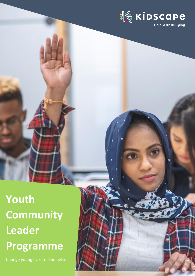

# **Youth Community Leader Programme**

Change young lives for the better